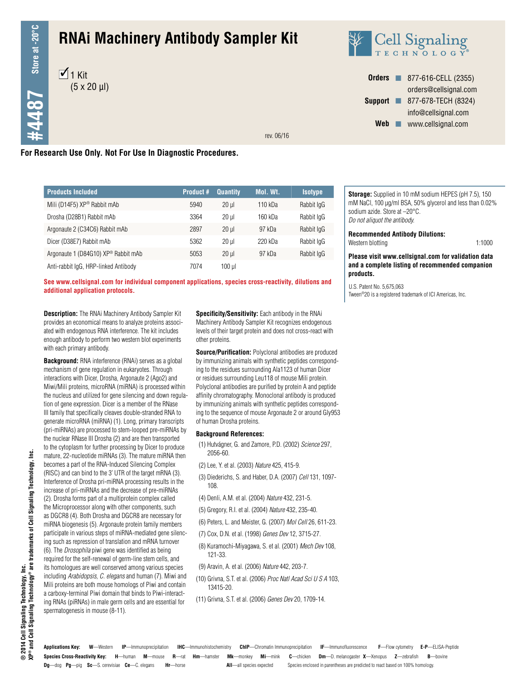$+4487$  Store at -20°C **#4487 Store at -20°C**

# **RNAi Machinery Antibody Sampler Kit**





**Orders n** 877-616-CELL (2355) orders@cellsignal.com **Support n** 877-678-TECH (8324) info@cellsignal.com Web www.cellsignal.com

rev. 06/16

#### **For Research Use Only. Not For Use In Diagnostic Procedures.**

| <b>Products Included</b>                        | <b>Product #</b> | <b>Quantity</b> | Mol. Wt. | <b>Isotype</b> |
|-------------------------------------------------|------------------|-----------------|----------|----------------|
| Mili (D14F5) XP® Rabbit mAb                     | 5940             | $20$ ul         | 110 kDa  | Rabbit IgG     |
| Drosha (D28B1) Rabbit mAb                       | 3364             | $20$ ul         | 160 kDa  | Rabbit IgG     |
| Argonaute 2 (C34C6) Rabbit mAb                  | 2897             | $20$ ul         | 97 kDa   | Rabbit IgG     |
| Dicer (D38E7) Rabbit mAb                        | 5362             | $20$ ul         | 220 kDa  | Rabbit IgG     |
| Argonaute 1 (D84G10) XP <sup>®</sup> Rabbit mAb | 5053             | $20$ ul         | 97 kDa   | Rabbit IgG     |
| Anti-rabbit IgG, HRP-linked Antibody            | 7074             | 100 µl          |          |                |

**See www.cellsignal.com for individual component applications, species cross-reactivity, dilutions and additional application protocols.** U.S. Patent No. 5,675,063<br>**additional application protocols.** U.S. Patent No. 5,675,063

**Description:** The RNAi Machinery Antibody Sampler Kit provides an economical means to analyze proteins associated with endogenous RNA interference. The kit includes enough antibody to perform two western blot experiments with each primary antibody.

**Background:** RNA interference (RNAi) serves as a global mechanism of gene regulation in eukaryotes. Through interactions with Dicer, Drosha, Argonaute 2 (Ago2) and Miwi/Mili proteins, microRNA (miRNA) is processed within the nucleus and utilized for gene silencing and down regulation of gene expression. Dicer is a member of the RNase III family that specifically cleaves double-stranded RNA to generate microRNA (miRNA) (1). Long, primary transcripts (pri-miRNAs) are processed to stem-looped pre-miRNAs by the nuclear RNase III Drosha (2) and are then transported to the cytoplasm for further processing by Dicer to produce mature, 22-nucleotide miRNAs (3). The mature miRNA then becomes a part of the RNA-Induced Silencing Complex (RISC) and can bind to the 3' UTR of the target mRNA (3). Interference of Drosha pri-miRNA processing results in the increase of pri-miRNAs and the decrease of pre-miRNAs (2). Drosha forms part of a multiprotein complex called the Microprocessor along with other components, such as DGCR8 (4). Both Drosha and DGCR8 are necessary for miRNA biogenesis (5). Argonaute protein family members participate in various steps of miRNA-mediated gene silencing such as repression of translation and mRNA turnover (6). The *Drosophila* piwi gene was identified as being required for the self-renewal of germ-line stem cells, and its homologues are well conserved among various species including *Arabidopsis*, *C. elegans* and human (7). Miwi and Mili proteins are both mouse homologs of Piwi and contain a carboxy-terminal Piwi domain that binds to Piwi-interacting RNAs (piRNAs) in male germ cells and are essential for spermatogenesis in mouse (8-11).

**Specificity/Sensitivity:** Each antibody in the RNAi Machinery Antibody Sampler Kit recognizes endogenous levels of their target protein and does not cross-react with other proteins.

**Source/Purification:** Polyclonal antibodies are produced by immunizing animals with synthetic peptides corresponding to the residues surrounding Ala1123 of human Dicer or residues surrounding Leu118 of mouse Mili protein. Polyclonal antibodies are purified by protein A and peptide affinity chromatography. Monoclonal antibody is produced by immunizing animals with synthetic peptides corresponding to the sequence of mouse Argonaute 2 or around Gly953 of human Drosha proteins.

#### **Background References:**

- (1) Hutvágner, G. and Zamore, P.D. (2002) *Science* 297, 2056-60.
- (2) Lee, Y. et al. (2003) *Nature* 425, 415-9.
- (3) Diederichs, S. and Haber, D.A. (2007) *Cell* 131, 1097- 108.
- (4) Denli, A.M. et al. (2004) *Nature* 432, 231-5.
- (5) Gregory, R.I. et al. (2004) *Nature* 432, 235-40.
- (6) Peters, L. and Meister, G. (2007) *Mol Cell* 26, 611-23.
- (7) Cox, D.N. et al. (1998) *Genes Dev* 12, 3715-27.
- (8) Kuramochi-Miyagawa, S. et al. (2001) *Mech Dev* 108, 121-33.
- (9) Aravin, A. et al. (2006) *Nature* 442, 203-7.
- (10) Grivna, S.T. et al. (2006) *Proc Natl Acad Sci U S A* 103, 13415-20.
- (11) Grivna, S.T. et al. (2006) *Genes Dev* 20, 1709-14.

**Storage:** Supplied in 10 mM sodium HEPES (pH 7.5), 150 mM NaCl, 100 µg/ml BSA, 50% glycerol and less than 0.02% sodium azide. Store at –20°C. *Do not aliquot the antibody.*

**Recommended Antibody Dilutions:** Western blotting 1:1000

**Please visit www.cellsignal.com for validation data and a complete listing of recommended companion products.**

Tween®20 is a registered trademark of ICI Americas, Inc.

**Species Cross-Reactivity Key: H**—human **M**—mouse **R**—rat **Hm**—hamster **Mk**—monkey **Mi**—mink **C**—chicken **Dm**—D. melanogaster **X**—Xenopus **Z**—zebrafish **B**—bovine **Dg**—dog **Pg**—pig **Sc**—S. cerevisiae **Ce**—C. elegans **Hr**—horse **All**—all species expected Species enclosed in parentheses are predicted to react based on 100% homology. **Applications Key: W**—Western **IP**—Immunoprecipitation **IHC**—Immunohistochemistry **ChIP**—Chromatin Immunoprecipitation **IF**—Immunofluorescence **F**—Flow cytometry **E-P**—ELISA-Peptide